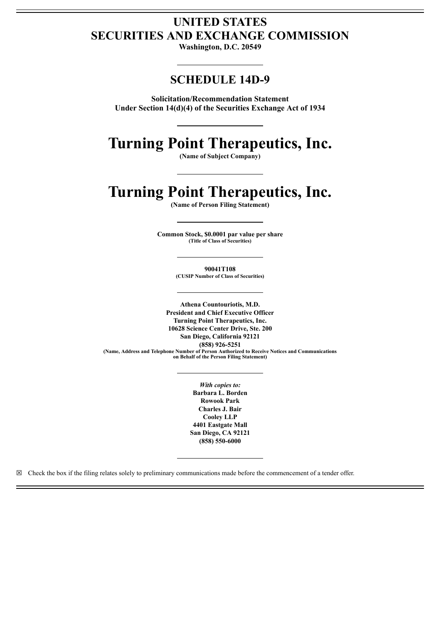### **UNITED STATES SECURITIES AND EXCHANGE COMMISSION**

**Washington, D.C. 20549**

### **SCHEDULE 14D-9**

**Solicitation/Recommendation Statement Under Section 14(d)(4) of the Securities Exchange Act of 1934**

# **Turning Point Therapeutics, Inc.**

**(Name of Subject Company)**

# **Turning Point Therapeutics, Inc.**

**(Name of Person Filing Statement)**

**Common Stock, \$0.0001 par value per share (Title of Class of Securities)**

> **90041T108 (CUSIP Number of Class of Securities)**

**Athena Countouriotis, M.D. President and Chief Executive Officer Turning Point Therapeutics, Inc. 10628 Science Center Drive, Ste. 200 San Diego, California 92121 (858) 926-5251 (Name, Address and Telephone Number of Person Authorized to Receive Notices and Communications on Behalf of the Person Filing Statement)**

> *With copies to:* **Barbara L. Borden Rowook Park Charles J. Bair Cooley LLP 4401 Eastgate Mall San Diego, CA 92121 (858) 550-6000**

 $\boxtimes$  Check the box if the filing relates solely to preliminary communications made before the commencement of a tender offer.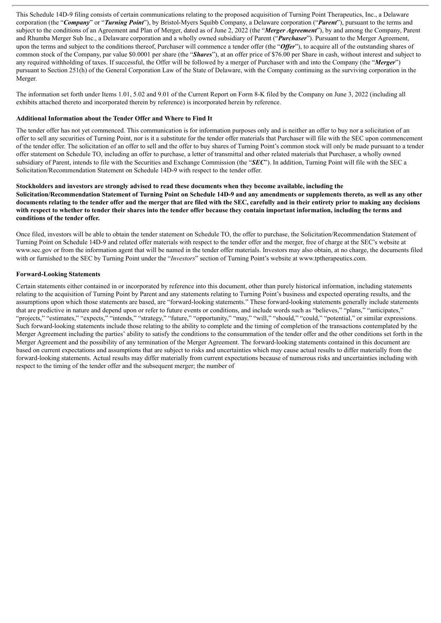This Schedule 14D-9 filing consists of certain communications relating to the proposed acquisition of Turning Point Therapeutics, Inc., a Delaware corporation (the "*Company*" or "*Turning Point*"), by Bristol-Myers Squibb Company, a Delaware corporation ("*Parent*"), pursuant to the terms and subject to the conditions of an Agreement and Plan of Merger, dated as of June 2, 2022 (the "*Merger Agreement*"), by and among the Company, Parent and Rhumba Merger Sub Inc., a Delaware corporation and a wholly owned subsidiary of Parent ("*Purchaser*"). Pursuant to the Merger Agreement, upon the terms and subject to the conditions thereof, Purchaser will commence a tender offer (the "Offer"), to acquire all of the outstanding shares of common stock of the Company, par value \$0.0001 per share (the "*Shares*"), at an offer price of \$76.00 per Share in cash, without interest and subject to any required withholding of taxes. If successful, the Offer will be followed by a merger of Purchaser with and into the Company (the "*Merger*") pursuant to Section 251(h) of the General Corporation Law of the State of Delaware, with the Company continuing as the surviving corporation in the Merger.

The information set forth under Items 1.01, 5.02 and 9.01 of the Current Report on Form 8-K filed by the Company on June 3, 2022 (including all exhibits attached thereto and incorporated therein by reference) is incorporated herein by reference.

### **Additional Information about the Tender Offer and Where to Find It**

The tender offer has not yet commenced. This communication is for information purposes only and is neither an offer to buy nor a solicitation of an offer to sell any securities of Turning Point, nor is it a substitute for the tender offer materials that Purchaser will file with the SEC upon commencement of the tender offer. The solicitation of an offer to sell and the offer to buy shares of Turning Point's common stock will only be made pursuant to a tender offer statement on Schedule TO, including an offer to purchase, a letter of transmittal and other related materials that Purchaser, a wholly owned subsidiary of Parent, intends to file with the Securities and Exchange Commission (the "*SEC*"). In addition, Turning Point will file with the SEC a Solicitation/Recommendation Statement on Schedule 14D-9 with respect to the tender offer.

### Stockholders and investors are strongly advised to read these documents when they become available, including the Solicitation/Recommendation Statement of Turning Point on Schedule 14D-9 and any amendments or supplements thereto, as well as any other documents relating to the tender offer and the merger that are filed with the SEC, carefully and in their entirety prior to making any decisions with respect to whether to tender their shares into the tender offer because they contain important information, including the terms and **conditions of the tender offer.**

Once filed, investors will be able to obtain the tender statement on Schedule TO, the offer to purchase, the Solicitation/Recommendation Statement of Turning Point on Schedule 14D-9 and related offer materials with respect to the tender offer and the merger, free of charge at the SEC's website at www.sec.gov or from the information agent that will be named in the tender offer materials. Investors may also obtain, at no charge, the documents filed with or furnished to the SEC by Turning Point under the "*Investors*" section of Turning Point's website at www.tptherapeutics.com.

#### **Forward-Looking Statements**

Certain statements either contained in or incorporated by reference into this document, other than purely historical information, including statements relating to the acquisition of Turning Point by Parent and any statements relating to Turning Point's business and expected operating results, and the assumptions upon which those statements are based, are "forward-looking statements." These forward-looking statements generally include statements that are predictive in nature and depend upon or refer to future events or conditions, and include words such as "believes," "plans," "anticipates," "projects," "estimates," "expects," "intends," "strategy," "future," "opportunity," "may," "will," "should," "could," "potential," or similar expressions. Such forward-looking statements include those relating to the ability to complete and the timing of completion of the transactions contemplated by the Merger Agreement including the parties' ability to satisfy the conditions to the consummation of the tender offer and the other conditions set forth in the Merger Agreement and the possibility of any termination of the Merger Agreement. The forward-looking statements contained in this document are based on current expectations and assumptions that are subject to risks and uncertainties which may cause actual results to differ materially from the forward-looking statements. Actual results may differ materially from current expectations because of numerous risks and uncertainties including with respect to the timing of the tender offer and the subsequent merger; the number of